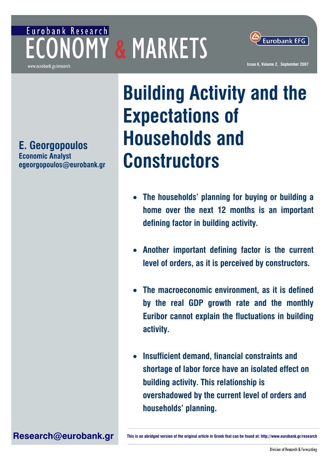## Eurobank Research **ECONOMY & MARKETS**



www.eurobank.gr/research

**E. Georgopoulos Economic Analyst [egeorgopoulos@eurobank.gr](mailto:egeorgopoulos@eurobank.gr)**

# **Building Activity and the Expectations of Households and Constructors**

- **The households' planning for buying or building a home over the next 12 months is an important defining factor in building activity.**
- **Another important defining factor is the current level of orders, as it is perceived by constructors.**
- **The macroeconomic environment, as it is defined by the real GDP growth rate and the monthly Euribor cannot explain the fluctuations in building activity.**
- **Insufficient demand, financial constraints and shortage of labor force have an isolated effect on building activity. This relationship is overshadowed by the current level of orders and households' planning.**

**[Research@eurobank.gr](mailto:Research@eurobank.gr) This is an abridged version of the original article in Greek that can be found at:<http://www.eurobank.gr/research>**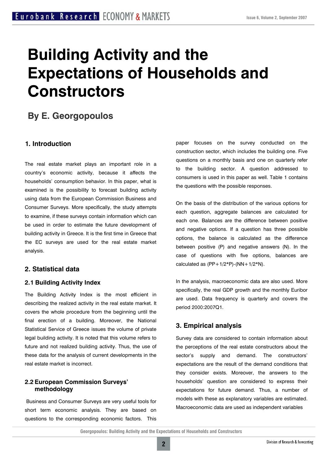### **Building Activity and the Expectations of Households and Constructors**

### **By E. Georgopoulos**

#### **1. Introduction**

The real estate market plays an important role in a country's economic activity, because it affects the households' consumption behavior. In this paper, what is examined is the possibility to forecast building activity using data from the European Commission Business and Consumer Surveys. More specifically, the study attempts to examine, if these surveys contain information which can be used in order to estimate the future development of building activity in Greece. It is the first time in Greece that the EC surveys are used for the real estate market analysis.

#### **2. Statistical data**

#### **2.1 Building Activity Index**

The Building Activity Index is the most efficient in describing the realized activity in the real estate market. It covers the whole procedure from the beginning until the final erection of a building. Moreover, the National Statistical Service of Greece issues the volume of private legal building activity. It is noted that this volume refers to future and not realized building activity. Thus, the use of these data for the analysis of current developments in the real estate market is incorrect.

#### **2.2 European Commission Surveys' methodology**

 Business and Consumer Surveys are very useful tools for short term economic analysis. They are based on questions to the corresponding economic factors. This paper focuses on the survey conducted on the construction sector, which includes the building one. Five questions on a monthly basis and one on quarterly refer to the building sector. A question addressed to consumers is used in this paper as well. Table 1 contains the questions with the possible responses.

On the basis of the distribution of the various options for each question, aggregate balances are calculated for each one. Balances are the difference between positive and negative options. If a question has three possible options, the balance is calculated as the difference between positive (P) and negative answers (N). In the case of questions with five options, balances are calculated as  $(PP+1/2*P)$ - $(NN+1/2*N)$ .

In the analysis, macroeconomic data are also used. More specifically, the real GDP growth and the monthly Euribor are used. Data frequency is quarterly and covers the period 2000:2007Q1.

#### **3. Empirical analysis**

Survey data are considered to contain information about the perceptions of the real estate constructors about the sector's supply and demand. The constructors' expectations are the result of the demand conditions that they consider exists. Moreover, the answers to the households' question are considered to express their expectations for future demand. Thus, a number of models with these as explanatory variables are estimated. Macroeconomic data are used as independent variables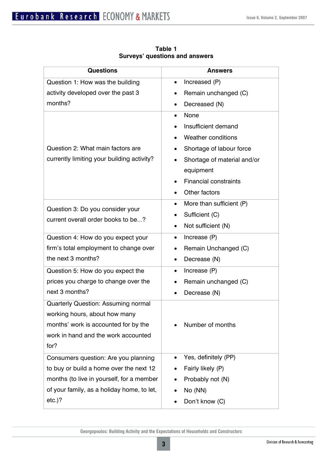| <b>Questions</b>                                                       | <b>Answers</b>                        |  |  |  |
|------------------------------------------------------------------------|---------------------------------------|--|--|--|
| Question 1: How was the building                                       | Increased (P)<br>$\bullet$            |  |  |  |
| activity developed over the past 3                                     | Remain unchanged (C)<br>٠             |  |  |  |
| months?                                                                | Decreased (N)<br>$\bullet$            |  |  |  |
|                                                                        | None<br>$\bullet$                     |  |  |  |
|                                                                        | Insufficient demand                   |  |  |  |
|                                                                        | Weather conditions                    |  |  |  |
| Question 2: What main factors are                                      | Shortage of labour force<br>٠         |  |  |  |
| currently limiting your building activity?                             | Shortage of material and/or           |  |  |  |
|                                                                        | equipment                             |  |  |  |
|                                                                        | <b>Financial constraints</b>          |  |  |  |
|                                                                        | Other factors                         |  |  |  |
| Question 3: Do you consider your<br>current overall order books to be? | More than sufficient (P)<br>$\bullet$ |  |  |  |
|                                                                        | Sufficient (C)                        |  |  |  |
|                                                                        | Not sufficient (N)<br>$\bullet$       |  |  |  |
| Question 4: How do you expect your                                     | Increase (P)<br>$\bullet$             |  |  |  |
| firm's total employment to change over                                 | Remain Unchanged (C)<br>$\bullet$     |  |  |  |
| the next 3 months?                                                     | Decrease (N)<br>$\bullet$             |  |  |  |
| Question 5: How do you expect the                                      | Increase (P)<br>$\bullet$             |  |  |  |
| prices you charge to change over the                                   | Remain unchanged (C)<br>٠             |  |  |  |
| next 3 months?                                                         | Decrease (N)                          |  |  |  |
| <b>Quarterly Question: Assuming normal</b>                             |                                       |  |  |  |
| working hours, about how many                                          |                                       |  |  |  |
| months' work is accounted for by the                                   | Number of months                      |  |  |  |
| work in hand and the work accounted                                    |                                       |  |  |  |
| for?                                                                   |                                       |  |  |  |
| Consumers question: Are you planning                                   | Yes, definitely (PP)<br>٠             |  |  |  |
| to buy or build a home over the next 12                                | Fairly likely (P)                     |  |  |  |
| months (to live in yourself, for a member                              | Probably not (N)                      |  |  |  |
| of your family, as a holiday home, to let,                             | No (NN)<br>٠                          |  |  |  |
| etc.)?                                                                 | Don't know (C)                        |  |  |  |

**Table 1 Surveys' questions and answers**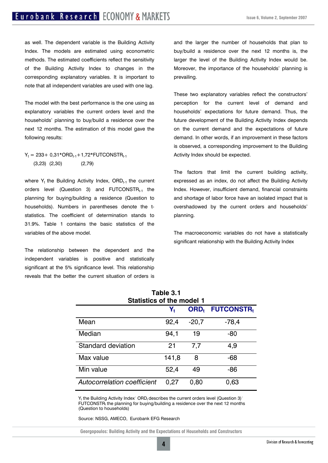as well. The dependent variable is the Building Activity Index. The models are estimated using econometric methods. The estimated coefficients reflect the sensitivity of the Building Activity Index to changes in the corresponding explanatory variables. It is important to note that all independent variables are used with one lag.

The model with the best performance is the one using as explanatory variables the current orders level and the households' planning to buy/build a residence over the next 12 months. The estimation of this model gave the following results:

 $Y_t = 233 + 0.31*ORD_{t-1} + 1.72*FUTCONSTR_{t-1}$ (3,23) (2,30) (2,79)

where  $Y_t$  the Building Activity Index, ORD<sub>t-1</sub> the current orders level (Question 3) and  $FUTCONSTR<sub>t-1</sub>$  the planning for buying/building a residence (Question to households). Numbers in parentheses denote the tstatistics. The coefficient of determination stands to 31.9%. Table 1 contains the basic statistics of the variables of the above model.

The relationship between the dependent and the independent variables is positive and statistically significant at the 5% significance level. This relationship reveals that the better the current situation of orders is

and the larger the number of households that plan to buy/build a residence over the next 12 months is, the larger the level of the Building Activity Index would be. Moreover, the importance of the households' planning is prevailing.

These two explanatory variables reflect the constructors' perception for the current level of demand and households' expectations for future demand. Thus, the future development of the Building Activity Index depends on the current demand and the expectations of future demand. In other words, if an improvement in these factors is observed, a corresponding improvement to the Building Activity Index should be expected.

The factors that limit the current building activity, expressed as an index, do not affect the Building Activity Index. However, insufficient demand, financial constraints and shortage of labor force have an isolated impact that is overshadowed by the current orders and households' planning.

The macroeconomic variables do not have a statistically significant relationship with the Building Activity Index

| <b>Table 3.1</b><br><b>Statistics of the model 1</b> |                         |                  |                               |  |
|------------------------------------------------------|-------------------------|------------------|-------------------------------|--|
|                                                      | $\mathsf{Y}_\mathsf{t}$ | ORD <sub>t</sub> | <b>FUTCONSTR</b> <sub>t</sub> |  |
| Mean                                                 | 92,4                    | $-20,7$          | $-78,4$                       |  |
| Median                                               | 94,1                    | 19               | $-80$                         |  |
| Standard deviation                                   | 21                      | 7,7              | 4,9                           |  |
| Max value                                            | 141,8                   | 8                | -68                           |  |
| Min value                                            | 52,4                    | 49               | $-86$                         |  |
| Autocorrelation coefficient                          | 0,27                    | 0,80             | 0,63                          |  |

 $Y_t$  the Building Activity Index $\overline{Y}$  ORD<sub>t</sub> describes the current orders level (Question 3) FUTCONSTR<sub>t</sub> the planning for buying/building a residence over the next 12 months (Question to households)

Source: NSSG, AMECO, Eurobank EFG Research

**Georgopoulos: Building Activity and the Expectations of Households and Constructors**